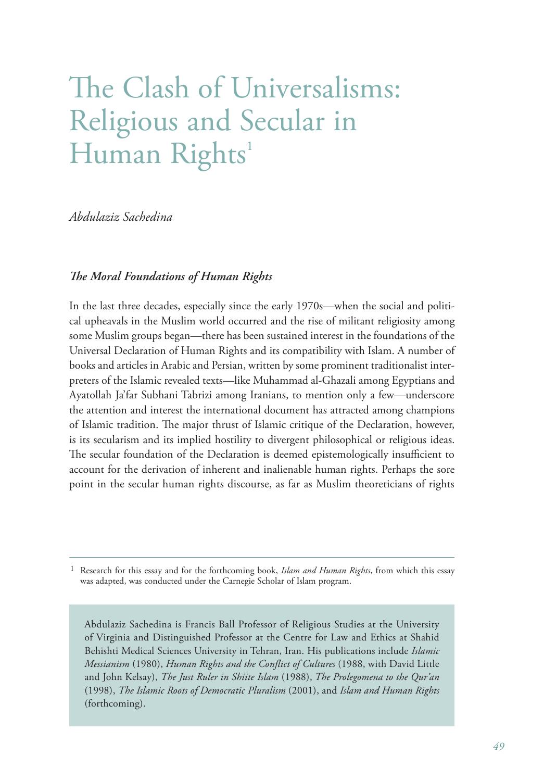## The Clash of Universalisms: Religious and Secular in Human Rights<sup>1</sup>

*Abdulaziz Sachedina*

## *The Moral Foundations of Human Rights*

In the last three decades, especially since the early 1970s—when the social and political upheavals in the Muslim world occurred and the rise of militant religiosity among some Muslim groups began—there has been sustained interest in the foundations of the Universal Declaration of Human Rights and its compatibility with Islam. A number of books and articles in Arabic and Persian, written by some prominent traditionalist interpreters of the Islamic revealed texts—like Muhammad al-Ghazali among Egyptians and Ayatollah Ja'far Subhani Tabrizi among Iranians, to mention only a few—underscore the attention and interest the international document has attracted among champions of Islamic tradition. The major thrust of Islamic critique of the Declaration, however, is its secularism and its implied hostility to divergent philosophical or religious ideas. The secular foundation of the Declaration is deemed epistemologically insufficient to account for the derivation of inherent and inalienable human rights. Perhaps the sore point in the secular human rights discourse, as far as Muslim theoreticians of rights

1 Research for this essay and for the forthcoming book, *Islam and Human Rights*, from which this essay was adapted, was conducted under the Carnegie Scholar of Islam program.

Abdulaziz Sachedina is Francis Ball Professor of Religious Studies at the University of Virginia and Distinguished Professor at the Centre for Law and Ethics at Shahid Behishti Medical Sciences University in Tehran, Iran. His publications include *Islamic Messianism* (1980), *Human Rights and the Conflict of Cultures* (1988, with David Little and John Kelsay), *The Just Ruler in Shiite Islam* (1988), *The Prolegomena to the Qur'an*  (1998), *The Islamic Roots of Democratic Pluralism* (2001), and *Islam and Human Rights* (forthcoming).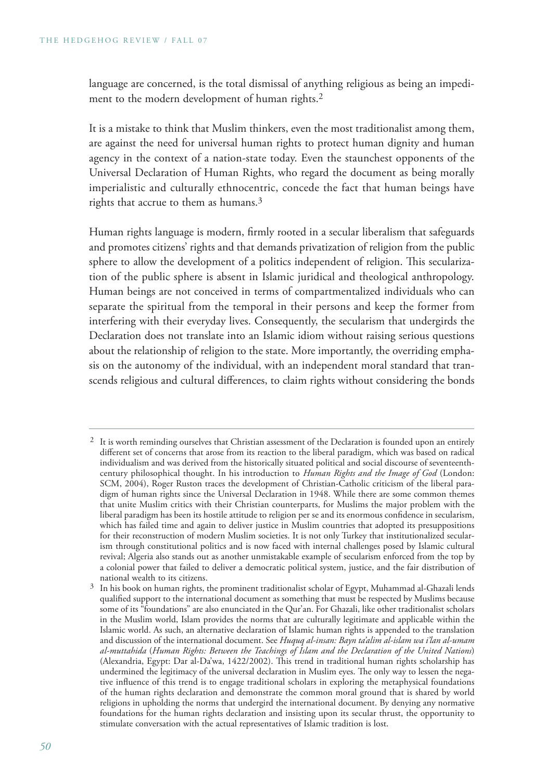language are concerned, is the total dismissal of anything religious as being an impediment to the modern development of human rights.<sup>2</sup>

It is a mistake to think that Muslim thinkers, even the most traditionalist among them, are against the need for universal human rights to protect human dignity and human agency in the context of a nation-state today. Even the staunchest opponents of the Universal Declaration of Human Rights, who regard the document as being morally imperialistic and culturally ethnocentric, concede the fact that human beings have rights that accrue to them as humans.3

Human rights language is modern, firmly rooted in a secular liberalism that safeguards and promotes citizens' rights and that demands privatization of religion from the public sphere to allow the development of a politics independent of religion. This secularization of the public sphere is absent in Islamic juridical and theological anthropology. Human beings are not conceived in terms of compartmentalized individuals who can separate the spiritual from the temporal in their persons and keep the former from interfering with their everyday lives. Consequently, the secularism that undergirds the Declaration does not translate into an Islamic idiom without raising serious questions about the relationship of religion to the state. More importantly, the overriding emphasis on the autonomy of the individual, with an independent moral standard that transcends religious and cultural differences, to claim rights without considering the bonds

<sup>&</sup>lt;sup>2</sup> It is worth reminding ourselves that Christian assessment of the Declaration is founded upon an entirely different set of concerns that arose from its reaction to the liberal paradigm, which was based on radical individualism and was derived from the historically situated political and social discourse of seventeenthcentury philosophical thought. In his introduction to *Human Rights and the Image of God* (London: SCM, 2004), Roger Ruston traces the development of Christian-Catholic criticism of the liberal paradigm of human rights since the Universal Declaration in 1948. While there are some common themes that unite Muslim critics with their Christian counterparts, for Muslims the major problem with the liberal paradigm has been its hostile attitude to religion per se and its enormous confidence in secularism, which has failed time and again to deliver justice in Muslim countries that adopted its presuppositions for their reconstruction of modern Muslim societies. It is not only Turkey that institutionalized secularism through constitutional politics and is now faced with internal challenges posed by Islamic cultural revival; Algeria also stands out as another unmistakable example of secularism enforced from the top by a colonial power that failed to deliver a democratic political system, justice, and the fair distribution of national wealth to its citizens.

<sup>3</sup> In his book on human rights, the prominent traditionalist scholar of Egypt, Muhammad al-Ghazali lends qualified support to the international document as something that must be respected by Muslims because some of its "foundations" are also enunciated in the Qur'an. For Ghazali, like other traditionalist scholars in the Muslim world, Islam provides the norms that are culturally legitimate and applicable within the Islamic world. As such, an alternative declaration of Islamic human rights is appended to the translation and discussion of the international document. See *Huquq al-insan: Bayn ta'alim al-islam wa i'lan al-umam al-muttahida* (*Human Rights: Between the Teachings of Islam and the Declaration of the United Nations*) (Alexandria, Egypt: Dar al-Da'wa, 1422/2002). This trend in traditional human rights scholarship has undermined the legitimacy of the universal declaration in Muslim eyes. The only way to lessen the negative influence of this trend is to engage traditional scholars in exploring the metaphysical foundations of the human rights declaration and demonstrate the common moral ground that is shared by world religions in upholding the norms that undergird the international document. By denying any normative foundations for the human rights declaration and insisting upon its secular thrust, the opportunity to stimulate conversation with the actual representatives of Islamic tradition is lost.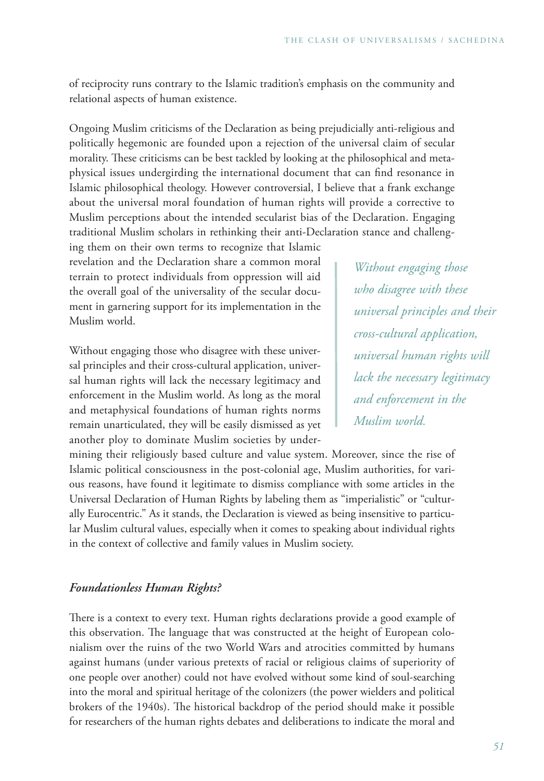of reciprocity runs contrary to the Islamic tradition's emphasis on the community and relational aspects of human existence.

Ongoing Muslim criticisms of the Declaration as being prejudicially anti-religious and politically hegemonic are founded upon a rejection of the universal claim of secular morality. These criticisms can be best tackled by looking at the philosophical and metaphysical issues undergirding the international document that can find resonance in Islamic philosophical theology. However controversial, I believe that a frank exchange about the universal moral foundation of human rights will provide a corrective to Muslim perceptions about the intended secularist bias of the Declaration. Engaging traditional Muslim scholars in rethinking their anti-Declaration stance and challeng-

ing them on their own terms to recognize that Islamic revelation and the Declaration share a common moral terrain to protect individuals from oppression will aid the overall goal of the universality of the secular document in garnering support for its implementation in the Muslim world.

Without engaging those who disagree with these universal principles and their cross-cultural application, universal human rights will lack the necessary legitimacy and enforcement in the Muslim world. As long as the moral and metaphysical foundations of human rights norms remain unarticulated, they will be easily dismissed as yet another ploy to dominate Muslim societies by under-

*Without engaging those who disagree with these universal principles and their cross-cultural application, universal human rights will lack the necessary legitimacy and enforcement in the Muslim world.*

mining their religiously based culture and value system. Moreover, since the rise of Islamic political consciousness in the post-colonial age, Muslim authorities, for various reasons, have found it legitimate to dismiss compliance with some articles in the Universal Declaration of Human Rights by labeling them as "imperialistic" or "culturally Eurocentric." As it stands, the Declaration is viewed as being insensitive to particular Muslim cultural values, especially when it comes to speaking about individual rights in the context of collective and family values in Muslim society.

## *Foundationless Human Rights?*

There is a context to every text. Human rights declarations provide a good example of this observation. The language that was constructed at the height of European colonialism over the ruins of the two World Wars and atrocities committed by humans against humans (under various pretexts of racial or religious claims of superiority of one people over another) could not have evolved without some kind of soul-searching into the moral and spiritual heritage of the colonizers (the power wielders and political brokers of the 1940s). The historical backdrop of the period should make it possible for researchers of the human rights debates and deliberations to indicate the moral and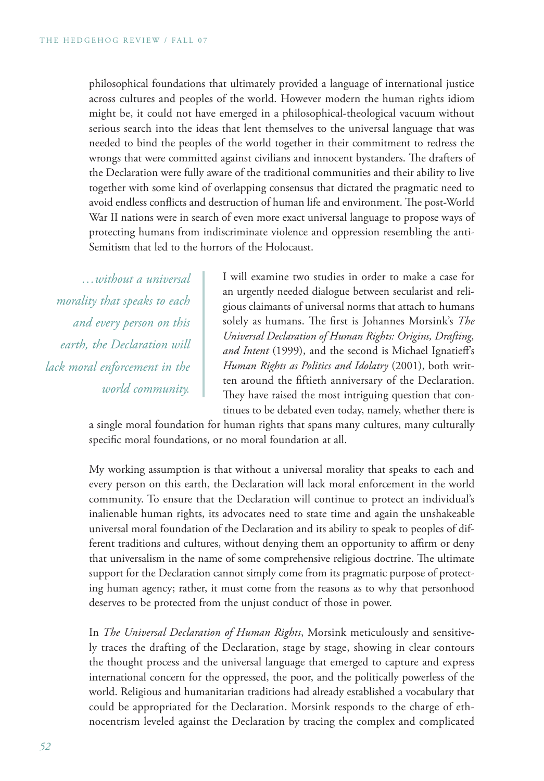philosophical foundations that ultimately provided a language of international justice across cultures and peoples of the world. However modern the human rights idiom might be, it could not have emerged in a philosophical-theological vacuum without serious search into the ideas that lent themselves to the universal language that was needed to bind the peoples of the world together in their commitment to redress the wrongs that were committed against civilians and innocent bystanders. The drafters of the Declaration were fully aware of the traditional communities and their ability to live together with some kind of overlapping consensus that dictated the pragmatic need to avoid endless conflicts and destruction of human life and environment. The post-World War II nations were in search of even more exact universal language to propose ways of protecting humans from indiscriminate violence and oppression resembling the anti-Semitism that led to the horrors of the Holocaust.

*…without a universal morality that speaks to each and every person on this earth, the Declaration will lack moral enforcement in the world community.*

I will examine two studies in order to make a case for an urgently needed dialogue between secularist and religious claimants of universal norms that attach to humans solely as humans. The first is Johannes Morsink's *The Universal Declaration of Human Rights: Origins, Drafting, and Intent* (1999), and the second is Michael Ignatieff's *Human Rights as Politics and Idolatry* (2001), both written around the fiftieth anniversary of the Declaration. They have raised the most intriguing question that continues to be debated even today, namely, whether there is

a single moral foundation for human rights that spans many cultures, many culturally specific moral foundations, or no moral foundation at all.

My working assumption is that without a universal morality that speaks to each and every person on this earth, the Declaration will lack moral enforcement in the world community. To ensure that the Declaration will continue to protect an individual's inalienable human rights, its advocates need to state time and again the unshakeable universal moral foundation of the Declaration and its ability to speak to peoples of different traditions and cultures, without denying them an opportunity to affirm or deny that universalism in the name of some comprehensive religious doctrine. The ultimate support for the Declaration cannot simply come from its pragmatic purpose of protecting human agency; rather, it must come from the reasons as to why that personhood deserves to be protected from the unjust conduct of those in power.

In *The Universal Declaration of Human Rights*, Morsink meticulously and sensitively traces the drafting of the Declaration, stage by stage, showing in clear contours the thought process and the universal language that emerged to capture and express international concern for the oppressed, the poor, and the politically powerless of the world. Religious and humanitarian traditions had already established a vocabulary that could be appropriated for the Declaration. Morsink responds to the charge of ethnocentrism leveled against the Declaration by tracing the complex and complicated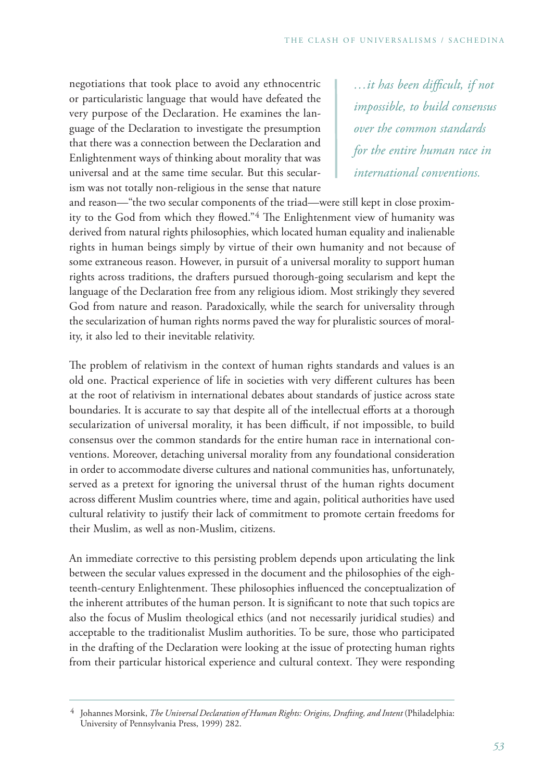negotiations that took place to avoid any ethnocentric or particularistic language that would have defeated the very purpose of the Declaration. He examines the language of the Declaration to investigate the presumption that there was a connection between the Declaration and Enlightenment ways of thinking about morality that was universal and at the same time secular. But this secularism was not totally non-religious in the sense that nature

*…it has been difficult, if not impossible, to build consensus over the common standards for the entire human race in international conventions.*

and reason—"the two secular components of the triad—were still kept in close proximity to the God from which they flowed."4 The Enlightenment view of humanity was derived from natural rights philosophies, which located human equality and inalienable rights in human beings simply by virtue of their own humanity and not because of some extraneous reason. However, in pursuit of a universal morality to support human rights across traditions, the drafters pursued thorough-going secularism and kept the language of the Declaration free from any religious idiom. Most strikingly they severed God from nature and reason. Paradoxically, while the search for universality through the secularization of human rights norms paved the way for pluralistic sources of morality, it also led to their inevitable relativity.

The problem of relativism in the context of human rights standards and values is an old one. Practical experience of life in societies with very different cultures has been at the root of relativism in international debates about standards of justice across state boundaries. It is accurate to say that despite all of the intellectual efforts at a thorough secularization of universal morality, it has been difficult, if not impossible, to build consensus over the common standards for the entire human race in international conventions. Moreover, detaching universal morality from any foundational consideration in order to accommodate diverse cultures and national communities has, unfortunately, served as a pretext for ignoring the universal thrust of the human rights document across different Muslim countries where, time and again, political authorities have used cultural relativity to justify their lack of commitment to promote certain freedoms for their Muslim, as well as non-Muslim, citizens.

An immediate corrective to this persisting problem depends upon articulating the link between the secular values expressed in the document and the philosophies of the eighteenth-century Enlightenment. These philosophies influenced the conceptualization of the inherent attributes of the human person. It is significant to note that such topics are also the focus of Muslim theological ethics (and not necessarily juridical studies) and acceptable to the traditionalist Muslim authorities. To be sure, those who participated in the drafting of the Declaration were looking at the issue of protecting human rights from their particular historical experience and cultural context. They were responding

<sup>4</sup> Johannes Morsink, *The Universal Declaration of Human Rights: Origins, Drafting, and Intent* (Philadelphia: University of Pennsylvania Press, 1999) 282.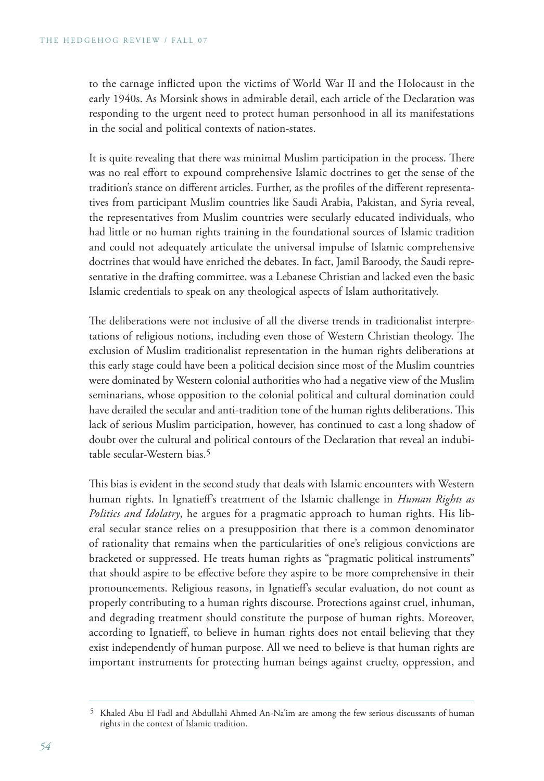to the carnage inflicted upon the victims of World War II and the Holocaust in the early 1940s. As Morsink shows in admirable detail, each article of the Declaration was responding to the urgent need to protect human personhood in all its manifestations in the social and political contexts of nation-states.

It is quite revealing that there was minimal Muslim participation in the process. There was no real effort to expound comprehensive Islamic doctrines to get the sense of the tradition's stance on different articles. Further, as the profiles of the different representatives from participant Muslim countries like Saudi Arabia, Pakistan, and Syria reveal, the representatives from Muslim countries were secularly educated individuals, who had little or no human rights training in the foundational sources of Islamic tradition and could not adequately articulate the universal impulse of Islamic comprehensive doctrines that would have enriched the debates. In fact, Jamil Baroody, the Saudi representative in the drafting committee, was a Lebanese Christian and lacked even the basic Islamic credentials to speak on any theological aspects of Islam authoritatively.

The deliberations were not inclusive of all the diverse trends in traditionalist interpretations of religious notions, including even those of Western Christian theology. The exclusion of Muslim traditionalist representation in the human rights deliberations at this early stage could have been a political decision since most of the Muslim countries were dominated by Western colonial authorities who had a negative view of the Muslim seminarians, whose opposition to the colonial political and cultural domination could have derailed the secular and anti-tradition tone of the human rights deliberations. This lack of serious Muslim participation, however, has continued to cast a long shadow of doubt over the cultural and political contours of the Declaration that reveal an indubitable secular-Western bias.5

This bias is evident in the second study that deals with Islamic encounters with Western human rights. In Ignatieff's treatment of the Islamic challenge in *Human Rights as Politics and Idolatry*, he argues for a pragmatic approach to human rights. His liberal secular stance relies on a presupposition that there is a common denominator of rationality that remains when the particularities of one's religious convictions are bracketed or suppressed. He treats human rights as "pragmatic political instruments" that should aspire to be effective before they aspire to be more comprehensive in their pronouncements. Religious reasons, in Ignatieff's secular evaluation, do not count as properly contributing to a human rights discourse. Protections against cruel, inhuman, and degrading treatment should constitute the purpose of human rights. Moreover, according to Ignatieff, to believe in human rights does not entail believing that they exist independently of human purpose. All we need to believe is that human rights are important instruments for protecting human beings against cruelty, oppression, and

<sup>5</sup> Khaled Abu El Fadl and Abdullahi Ahmed An-Na'im are among the few serious discussants of human rights in the context of Islamic tradition.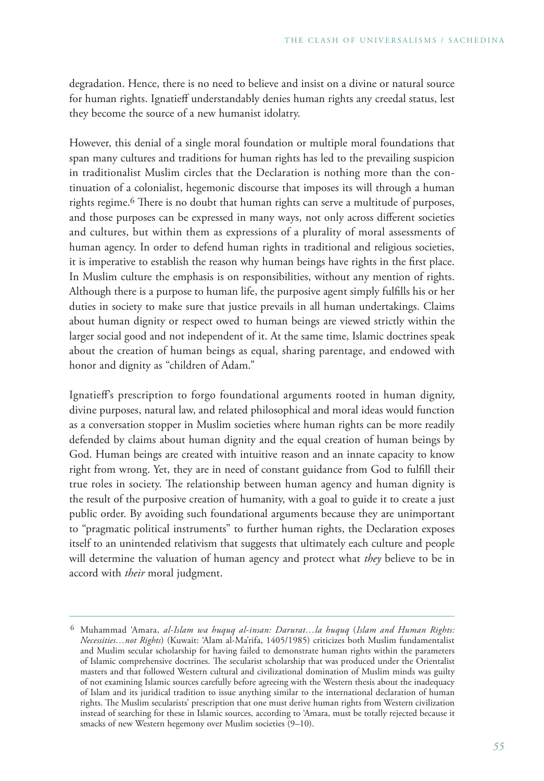degradation. Hence, there is no need to believe and insist on a divine or natural source for human rights. Ignatieff understandably denies human rights any creedal status, lest they become the source of a new humanist idolatry.

However, this denial of a single moral foundation or multiple moral foundations that span many cultures and traditions for human rights has led to the prevailing suspicion in traditionalist Muslim circles that the Declaration is nothing more than the continuation of a colonialist, hegemonic discourse that imposes its will through a human rights regime.6 There is no doubt that human rights can serve a multitude of purposes, and those purposes can be expressed in many ways, not only across different societies and cultures, but within them as expressions of a plurality of moral assessments of human agency. In order to defend human rights in traditional and religious societies, it is imperative to establish the reason why human beings have rights in the first place. In Muslim culture the emphasis is on responsibilities, without any mention of rights. Although there is a purpose to human life, the purposive agent simply fulfills his or her duties in society to make sure that justice prevails in all human undertakings. Claims about human dignity or respect owed to human beings are viewed strictly within the larger social good and not independent of it. At the same time, Islamic doctrines speak about the creation of human beings as equal, sharing parentage, and endowed with honor and dignity as "children of Adam."

Ignatieff's prescription to forgo foundational arguments rooted in human dignity, divine purposes, natural law, and related philosophical and moral ideas would function as a conversation stopper in Muslim societies where human rights can be more readily defended by claims about human dignity and the equal creation of human beings by God. Human beings are created with intuitive reason and an innate capacity to know right from wrong. Yet, they are in need of constant guidance from God to fulfill their true roles in society. The relationship between human agency and human dignity is the result of the purposive creation of humanity, with a goal to guide it to create a just public order. By avoiding such foundational arguments because they are unimportant to "pragmatic political instruments" to further human rights, the Declaration exposes itself to an unintended relativism that suggests that ultimately each culture and people will determine the valuation of human agency and protect what *they* believe to be in accord with *their* moral judgment.

<sup>6</sup> Muhammad 'Amara, *al-Islam wa huquq al-insan: Darurat…la huquq* (*Islam and Human Rights: Necessities…not Rights*) (Kuwait: 'Alam al-Ma'rifa, 1405/1985) criticizes both Muslim fundamentalist and Muslim secular scholarship for having failed to demonstrate human rights within the parameters of Islamic comprehensive doctrines. The secularist scholarship that was produced under the Orientalist masters and that followed Western cultural and civilizational domination of Muslim minds was guilty of not examining Islamic sources carefully before agreeing with the Western thesis about the inadequacy of Islam and its juridical tradition to issue anything similar to the international declaration of human rights. The Muslim secularists' prescription that one must derive human rights from Western civilization instead of searching for these in Islamic sources, according to 'Amara, must be totally rejected because it smacks of new Western hegemony over Muslim societies (9-10).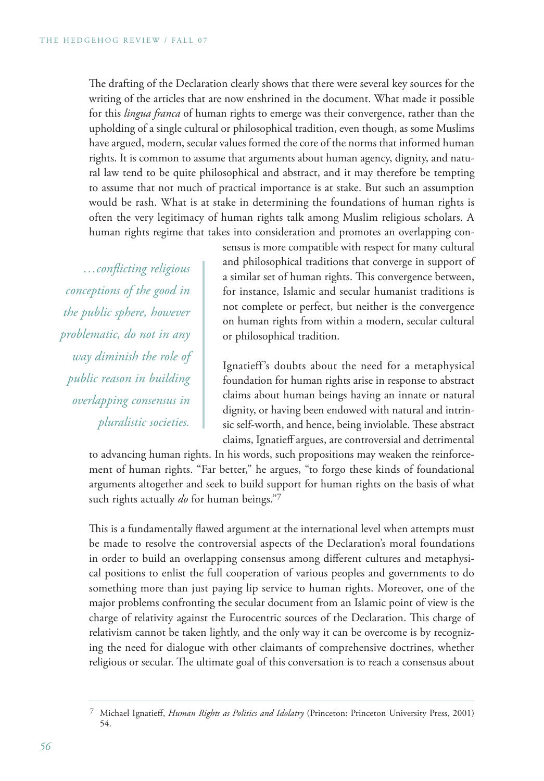The drafting of the Declaration clearly shows that there were several key sources for the writing of the articles that are now enshrined in the document. What made it possible for this *lingua franca* of human rights to emerge was their convergence, rather than the upholding of a single cultural or philosophical tradition, even though, as some Muslims have argued, modern, secular values formed the core of the norms that informed human rights. It is common to assume that arguments about human agency, dignity, and natural law tend to be quite philosophical and abstract, and it may therefore be tempting to assume that not much of practical importance is at stake. But such an assumption would be rash. What is at stake in determining the foundations of human rights is often the very legitimacy of human rights talk among Muslim religious scholars. A human rights regime that takes into consideration and promotes an overlapping con-

*…conflicting religious conceptions of the good in the public sphere, however problematic, do not in any way diminish the role of public reason in building overlapping consensus in pluralistic societies.*

sensus is more compatible with respect for many cultural and philosophical traditions that converge in support of a similar set of human rights. This convergence between, for instance, Islamic and secular humanist traditions is not complete or perfect, but neither is the convergence on human rights from within a modern, secular cultural or philosophical tradition.

Ignatieff 's doubts about the need for a metaphysical foundation for human rights arise in response to abstract claims about human beings having an innate or natural dignity, or having been endowed with natural and intrinsic self-worth, and hence, being inviolable. These abstract claims, Ignatieff argues, are controversial and detrimental

to advancing human rights. In his words, such propositions may weaken the reinforcement of human rights. "Far better," he argues, "to forgo these kinds of foundational arguments altogether and seek to build support for human rights on the basis of what such rights actually *do* for human beings."7

This is a fundamentally flawed argument at the international level when attempts must be made to resolve the controversial aspects of the Declaration's moral foundations in order to build an overlapping consensus among different cultures and metaphysical positions to enlist the full cooperation of various peoples and governments to do something more than just paying lip service to human rights. Moreover, one of the major problems confronting the secular document from an Islamic point of view is the charge of relativity against the Eurocentric sources of the Declaration. This charge of relativism cannot be taken lightly, and the only way it can be overcome is by recognizing the need for dialogue with other claimants of comprehensive doctrines, whether religious or secular. The ultimate goal of this conversation is to reach a consensus about

<sup>7</sup> Michael Ignatieff, *Human Rights as Politics and Idolatry* (Princeton: Princeton University Press, 2001) 54.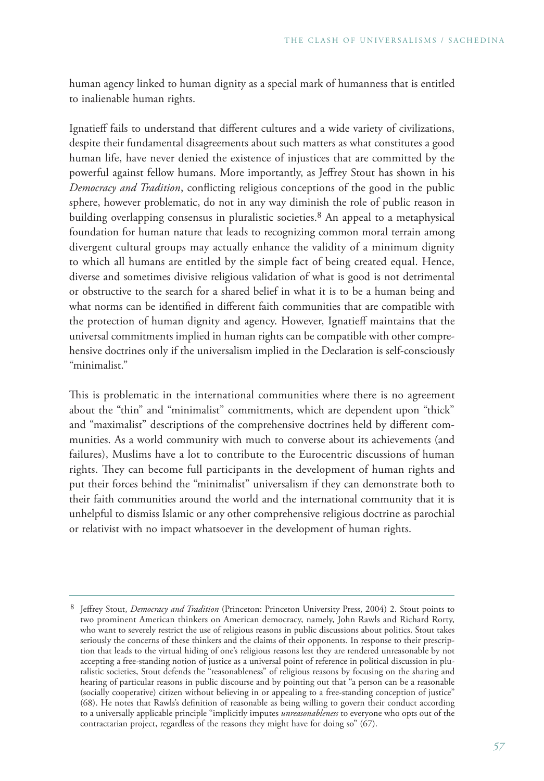human agency linked to human dignity as a special mark of humanness that is entitled to inalienable human rights.

Ignatieff fails to understand that different cultures and a wide variety of civilizations, despite their fundamental disagreements about such matters as what constitutes a good human life, have never denied the existence of injustices that are committed by the powerful against fellow humans. More importantly, as Jeffrey Stout has shown in his *Democracy and Tradition*, conflicting religious conceptions of the good in the public sphere, however problematic, do not in any way diminish the role of public reason in building overlapping consensus in pluralistic societies.<sup>8</sup> An appeal to a metaphysical foundation for human nature that leads to recognizing common moral terrain among divergent cultural groups may actually enhance the validity of a minimum dignity to which all humans are entitled by the simple fact of being created equal. Hence, diverse and sometimes divisive religious validation of what is good is not detrimental or obstructive to the search for a shared belief in what it is to be a human being and what norms can be identified in different faith communities that are compatible with the protection of human dignity and agency. However, Ignatieff maintains that the universal commitments implied in human rights can be compatible with other comprehensive doctrines only if the universalism implied in the Declaration is self-consciously "minimalist."

This is problematic in the international communities where there is no agreement about the "thin" and "minimalist" commitments, which are dependent upon "thick" and "maximalist" descriptions of the comprehensive doctrines held by different communities. As a world community with much to converse about its achievements (and failures), Muslims have a lot to contribute to the Eurocentric discussions of human rights. They can become full participants in the development of human rights and put their forces behind the "minimalist" universalism if they can demonstrate both to their faith communities around the world and the international community that it is unhelpful to dismiss Islamic or any other comprehensive religious doctrine as parochial or relativist with no impact whatsoever in the development of human rights.

<sup>8</sup> Jeffrey Stout, *Democracy and Tradition* (Princeton: Princeton University Press, 2004) 2. Stout points to two prominent American thinkers on American democracy, namely, John Rawls and Richard Rorty, who want to severely restrict the use of religious reasons in public discussions about politics. Stout takes seriously the concerns of these thinkers and the claims of their opponents. In response to their prescription that leads to the virtual hiding of one's religious reasons lest they are rendered unreasonable by not accepting a free-standing notion of justice as a universal point of reference in political discussion in pluralistic societies, Stout defends the "reasonableness" of religious reasons by focusing on the sharing and hearing of particular reasons in public discourse and by pointing out that "a person can be a reasonable (socially cooperative) citizen without believing in or appealing to a free-standing conception of justice" (68). He notes that Rawls's definition of reasonable as being willing to govern their conduct according to a universally applicable principle "implicitly imputes *unreasonableness* to everyone who opts out of the contractarian project, regardless of the reasons they might have for doing so" (67).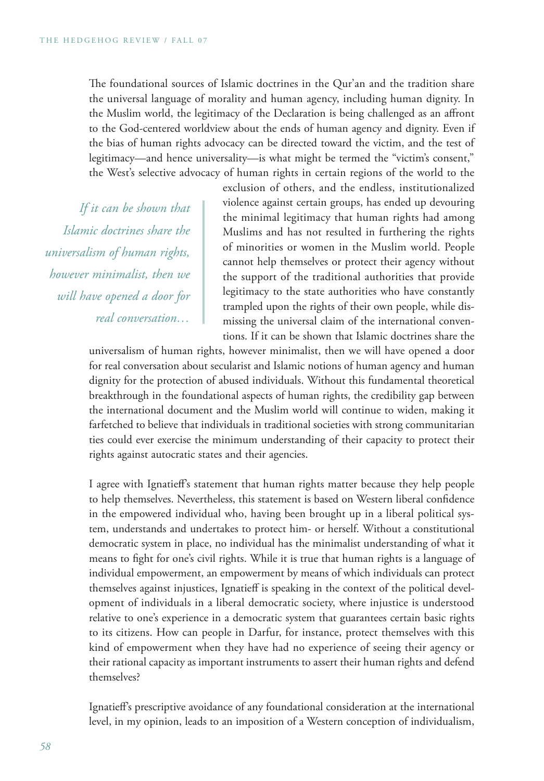The foundational sources of Islamic doctrines in the Qur'an and the tradition share the universal language of morality and human agency, including human dignity. In the Muslim world, the legitimacy of the Declaration is being challenged as an affront to the God-centered worldview about the ends of human agency and dignity. Even if the bias of human rights advocacy can be directed toward the victim, and the test of legitimacy—and hence universality—is what might be termed the "victim's consent," the West's selective advocacy of human rights in certain regions of the world to the

*If it can be shown that Islamic doctrines share the universalism of human rights, however minimalist, then we will have opened a door for real conversation…*

exclusion of others, and the endless, institutionalized violence against certain groups, has ended up devouring the minimal legitimacy that human rights had among Muslims and has not resulted in furthering the rights of minorities or women in the Muslim world. People cannot help themselves or protect their agency without the support of the traditional authorities that provide legitimacy to the state authorities who have constantly trampled upon the rights of their own people, while dismissing the universal claim of the international conventions. If it can be shown that Islamic doctrines share the

universalism of human rights, however minimalist, then we will have opened a door for real conversation about secularist and Islamic notions of human agency and human dignity for the protection of abused individuals. Without this fundamental theoretical breakthrough in the foundational aspects of human rights, the credibility gap between the international document and the Muslim world will continue to widen, making it farfetched to believe that individuals in traditional societies with strong communitarian ties could ever exercise the minimum understanding of their capacity to protect their rights against autocratic states and their agencies.

I agree with Ignatieff's statement that human rights matter because they help people to help themselves. Nevertheless, this statement is based on Western liberal confidence in the empowered individual who, having been brought up in a liberal political system, understands and undertakes to protect him- or herself. Without a constitutional democratic system in place, no individual has the minimalist understanding of what it means to fight for one's civil rights. While it is true that human rights is a language of individual empowerment, an empowerment by means of which individuals can protect themselves against injustices, Ignatieff is speaking in the context of the political development of individuals in a liberal democratic society, where injustice is understood relative to one's experience in a democratic system that guarantees certain basic rights to its citizens. How can people in Darfur, for instance, protect themselves with this kind of empowerment when they have had no experience of seeing their agency or their rational capacity as important instruments to assert their human rights and defend themselves?

Ignatieff's prescriptive avoidance of any foundational consideration at the international level, in my opinion, leads to an imposition of a Western conception of individualism,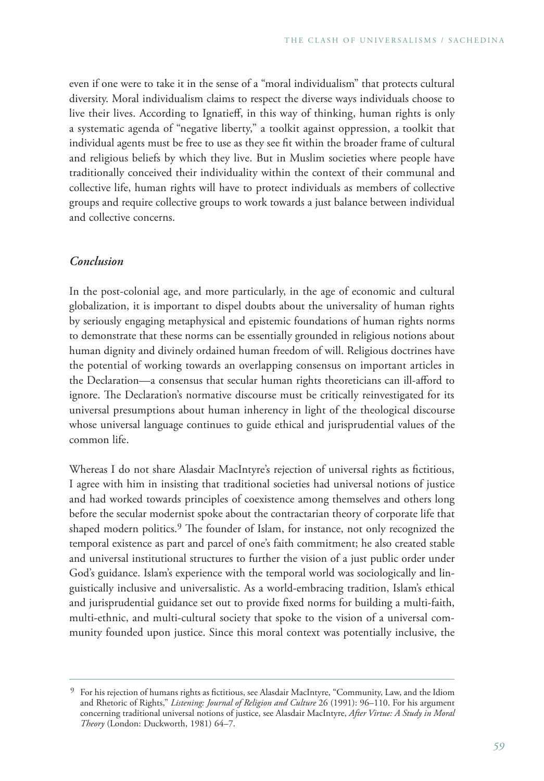even if one were to take it in the sense of a "moral individualism" that protects cultural diversity. Moral individualism claims to respect the diverse ways individuals choose to live their lives. According to Ignatieff, in this way of thinking, human rights is only a systematic agenda of "negative liberty," a toolkit against oppression, a toolkit that individual agents must be free to use as they see fit within the broader frame of cultural and religious beliefs by which they live. But in Muslim societies where people have traditionally conceived their individuality within the context of their communal and collective life, human rights will have to protect individuals as members of collective groups and require collective groups to work towards a just balance between individual and collective concerns.

## *Conclusion*

In the post-colonial age, and more particularly, in the age of economic and cultural globalization, it is important to dispel doubts about the universality of human rights by seriously engaging metaphysical and epistemic foundations of human rights norms to demonstrate that these norms can be essentially grounded in religious notions about human dignity and divinely ordained human freedom of will. Religious doctrines have the potential of working towards an overlapping consensus on important articles in the Declaration—a consensus that secular human rights theoreticians can ill-afford to ignore. The Declaration's normative discourse must be critically reinvestigated for its universal presumptions about human inherency in light of the theological discourse whose universal language continues to guide ethical and jurisprudential values of the common life.

Whereas I do not share Alasdair MacIntyre's rejection of universal rights as fictitious, I agree with him in insisting that traditional societies had universal notions of justice and had worked towards principles of coexistence among themselves and others long before the secular modernist spoke about the contractarian theory of corporate life that shaped modern politics.<sup>9</sup> The founder of Islam, for instance, not only recognized the temporal existence as part and parcel of one's faith commitment; he also created stable and universal institutional structures to further the vision of a just public order under God's guidance. Islam's experience with the temporal world was sociologically and linguistically inclusive and universalistic. As a world-embracing tradition, Islam's ethical and jurisprudential guidance set out to provide fixed norms for building a multi-faith, multi-ethnic, and multi-cultural society that spoke to the vision of a universal community founded upon justice. Since this moral context was potentially inclusive, the

<sup>9</sup> For his rejection of humans rights as fictitious, see Alasdair MacIntyre, "Community, Law, and the Idiom and Rhetoric of Rights," *Listening: Journal of Religion and Culture* 26 (1991): 96–110. For his argument concerning traditional universal notions of justice, see Alasdair MacIntyre, *After Virtue: A Study in Moral Theory* (London: Duckworth, 1981) 64–7.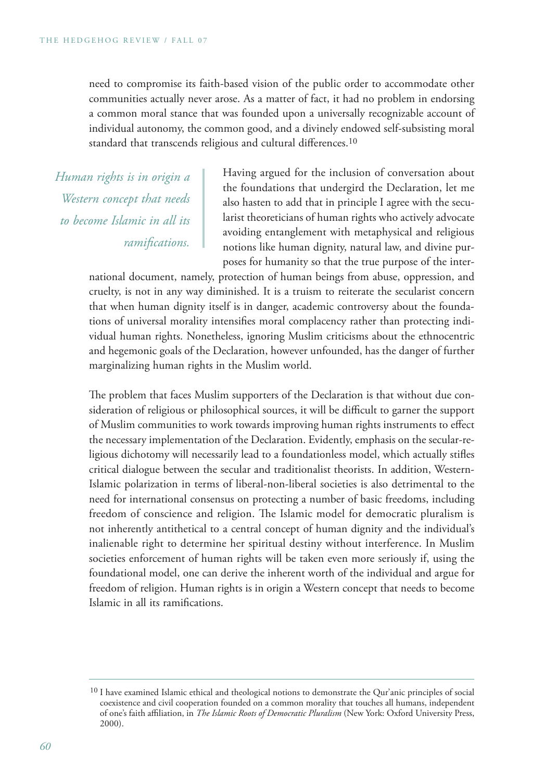need to compromise its faith-based vision of the public order to accommodate other communities actually never arose. As a matter of fact, it had no problem in endorsing a common moral stance that was founded upon a universally recognizable account of individual autonomy, the common good, and a divinely endowed self-subsisting moral standard that transcends religious and cultural differences.10

*Human rights is in origin a Western concept that needs to become Islamic in all its ramifications.*

Having argued for the inclusion of conversation about the foundations that undergird the Declaration, let me also hasten to add that in principle I agree with the secularist theoreticians of human rights who actively advocate avoiding entanglement with metaphysical and religious notions like human dignity, natural law, and divine purposes for humanity so that the true purpose of the inter-

national document, namely, protection of human beings from abuse, oppression, and cruelty, is not in any way diminished. It is a truism to reiterate the secularist concern that when human dignity itself is in danger, academic controversy about the foundations of universal morality intensifies moral complacency rather than protecting individual human rights. Nonetheless, ignoring Muslim criticisms about the ethnocentric and hegemonic goals of the Declaration, however unfounded, has the danger of further marginalizing human rights in the Muslim world.

The problem that faces Muslim supporters of the Declaration is that without due consideration of religious or philosophical sources, it will be difficult to garner the support of Muslim communities to work towards improving human rights instruments to effect the necessary implementation of the Declaration. Evidently, emphasis on the secular-religious dichotomy will necessarily lead to a foundationless model, which actually stifles critical dialogue between the secular and traditionalist theorists. In addition, Western-Islamic polarization in terms of liberal-non-liberal societies is also detrimental to the need for international consensus on protecting a number of basic freedoms, including freedom of conscience and religion. The Islamic model for democratic pluralism is not inherently antithetical to a central concept of human dignity and the individual's inalienable right to determine her spiritual destiny without interference. In Muslim societies enforcement of human rights will be taken even more seriously if, using the foundational model, one can derive the inherent worth of the individual and argue for freedom of religion. Human rights is in origin a Western concept that needs to become Islamic in all its ramifications.

<sup>&</sup>lt;sup>10</sup> I have examined Islamic ethical and theological notions to demonstrate the Qur'anic principles of social coexistence and civil cooperation founded on a common morality that touches all humans, independent of one's faith affiliation, in *The Islamic Roots of Democratic Pluralism* (New York: Oxford University Press, 2000).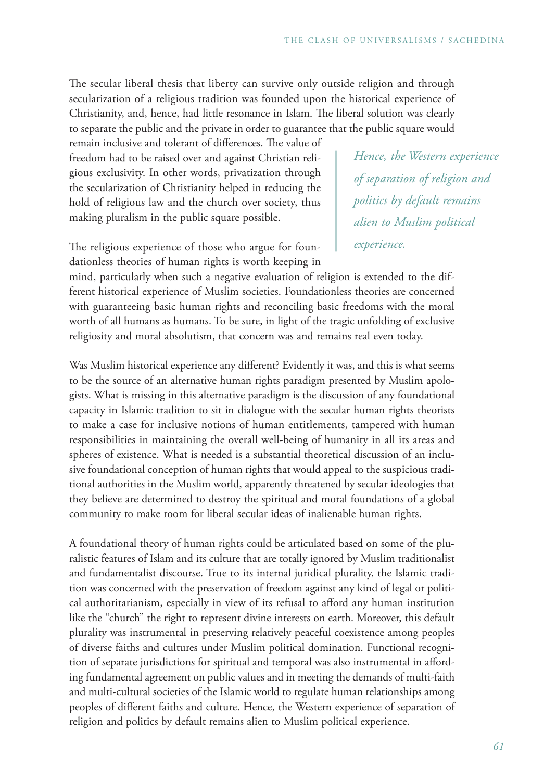The secular liberal thesis that liberty can survive only outside religion and through secularization of a religious tradition was founded upon the historical experience of Christianity, and, hence, had little resonance in Islam. The liberal solution was clearly to separate the public and the private in order to guarantee that the public square would

remain inclusive and tolerant of differences. The value of freedom had to be raised over and against Christian religious exclusivity. In other words, privatization through the secularization of Christianity helped in reducing the hold of religious law and the church over society, thus making pluralism in the public square possible.

*Hence, the Western experience of separation of religion and politics by default remains alien to Muslim political experience.*

The religious experience of those who argue for foundationless theories of human rights is worth keeping in

mind, particularly when such a negative evaluation of religion is extended to the different historical experience of Muslim societies. Foundationless theories are concerned with guaranteeing basic human rights and reconciling basic freedoms with the moral worth of all humans as humans. To be sure, in light of the tragic unfolding of exclusive religiosity and moral absolutism, that concern was and remains real even today.

Was Muslim historical experience any different? Evidently it was, and this is what seems to be the source of an alternative human rights paradigm presented by Muslim apologists. What is missing in this alternative paradigm is the discussion of any foundational capacity in Islamic tradition to sit in dialogue with the secular human rights theorists to make a case for inclusive notions of human entitlements, tampered with human responsibilities in maintaining the overall well-being of humanity in all its areas and spheres of existence. What is needed is a substantial theoretical discussion of an inclusive foundational conception of human rights that would appeal to the suspicious traditional authorities in the Muslim world, apparently threatened by secular ideologies that they believe are determined to destroy the spiritual and moral foundations of a global community to make room for liberal secular ideas of inalienable human rights.

A foundational theory of human rights could be articulated based on some of the pluralistic features of Islam and its culture that are totally ignored by Muslim traditionalist and fundamentalist discourse. True to its internal juridical plurality, the Islamic tradition was concerned with the preservation of freedom against any kind of legal or political authoritarianism, especially in view of its refusal to afford any human institution like the "church" the right to represent divine interests on earth. Moreover, this default plurality was instrumental in preserving relatively peaceful coexistence among peoples of diverse faiths and cultures under Muslim political domination. Functional recognition of separate jurisdictions for spiritual and temporal was also instrumental in affording fundamental agreement on public values and in meeting the demands of multi-faith and multi-cultural societies of the Islamic world to regulate human relationships among peoples of different faiths and culture. Hence, the Western experience of separation of religion and politics by default remains alien to Muslim political experience.